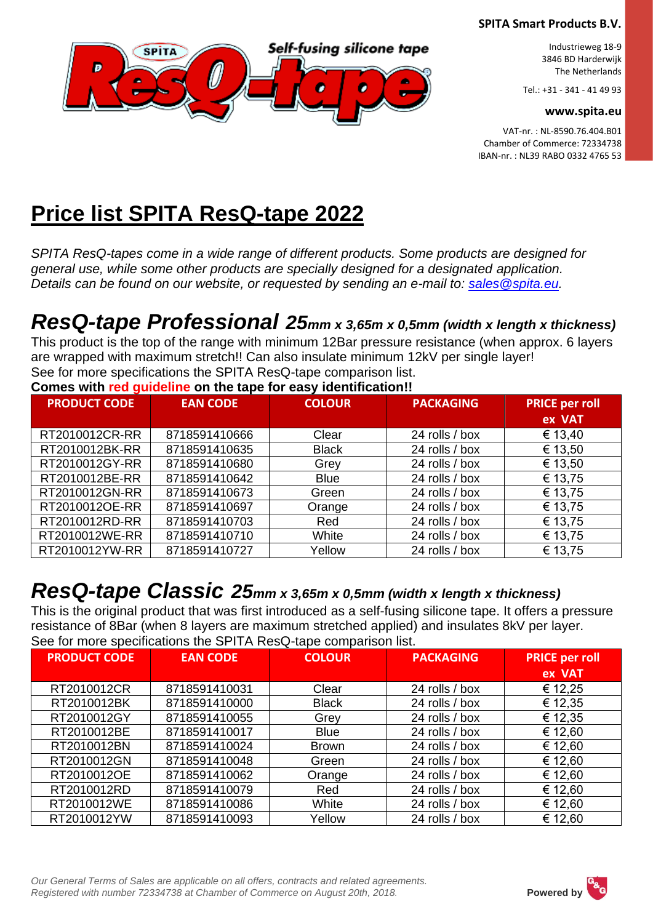

Industrieweg 18-9 3846 BD Harderwijk The Netherlands

Tel.: +31 - 341 - 41 49 93

**www.spita.eu**

VAT-nr. : NL-8590.76.404.B01 Chamber of Commerce: 72334738 IBAN-nr. : NL39 RABO 0332 4765 53

# **Price list SPITA ResQ-tape 2022**

*SPITA ResQ-tapes come in a wide range of different products. Some products are designed for general use, while some other products are specially designed for a designated application. Details can be found on our website, or requested by sending an e-mail to: [sales@spita.eu.](mailto:sales@spita.eu)* 

# *ResQ-tape Professional 25mm x 3,65m x 0,5mm (width x length x thickness)*

This product is the top of the range with minimum 12Bar pressure resistance (when approx. 6 layers are wrapped with maximum stretch!! Can also insulate minimum 12kV per single layer! See for more specifications the SPITA ResQ-tape comparison list.

**Comes with red guideline on the tape for easy identification!!**

| <b>PRODUCT CODE</b> | <b>EAN CODE</b> | <b>COLOUR</b> | <b>PACKAGING</b> | <b>PRICE per roll</b> |
|---------------------|-----------------|---------------|------------------|-----------------------|
|                     |                 |               |                  | ex VAT                |
| RT2010012CR-RR      | 8718591410666   | Clear         | 24 rolls / box   | € 13,40               |
| RT2010012BK-RR      | 8718591410635   | <b>Black</b>  | 24 rolls / box   | € 13,50               |
| RT2010012GY-RR      | 8718591410680   | Grey          | 24 rolls / box   | € 13,50               |
| RT2010012BE-RR      | 8718591410642   | <b>Blue</b>   | 24 rolls / box   | € 13,75               |
| RT2010012GN-RR      | 8718591410673   | Green         | 24 rolls / box   | € 13,75               |
| RT2010012OE-RR      | 8718591410697   | Orange        | 24 rolls / box   | € 13,75               |
| RT2010012RD-RR      | 8718591410703   | Red           | 24 rolls / box   | € 13,75               |
| RT2010012WE-RR      | 8718591410710   | White         | 24 rolls / box   | € 13,75               |
| RT2010012YW-RR      | 8718591410727   | Yellow        | 24 rolls / box   | € 13,75               |

### *ResQ-tape Classic 25mm x 3,65m x 0,5mm (width x length x thickness)*

This is the original product that was first introduced as a self-fusing silicone tape. It offers a pressure resistance of 8Bar (when 8 layers are maximum stretched applied) and insulates 8kV per layer. See for more specifications the SPITA ResQ-tape comparison list.

| <b>PRODUCT CODE</b> | <b>EAN CODE</b> | <b>COLOUR</b> | <b>PACKAGING</b> | <b>PRICE per roll</b> |
|---------------------|-----------------|---------------|------------------|-----------------------|
|                     |                 |               |                  | ex VAT                |
| RT2010012CR         | 8718591410031   | Clear         | 24 rolls / box   | € 12,25               |
| RT2010012BK         | 8718591410000   | <b>Black</b>  | 24 rolls / box   | € 12,35               |
| RT2010012GY         | 8718591410055   | Grey          | 24 rolls / box   | € 12,35               |
| RT2010012BE         | 8718591410017   | <b>Blue</b>   | 24 rolls / box   | € 12,60               |
| RT2010012BN         | 8718591410024   | Brown         | 24 rolls / box   | € 12,60               |
| RT2010012GN         | 8718591410048   | Green         | 24 rolls / box   | € 12,60               |
| RT2010012OE         | 8718591410062   | Orange        | 24 rolls / box   | € 12,60               |
| RT2010012RD         | 8718591410079   | Red           | 24 rolls / box   | € 12,60               |
| RT2010012WE         | 8718591410086   | White         | 24 rolls / box   | € 12,60               |
| RT2010012YW         | 8718591410093   | Yellow        | 24 rolls / box   | € 12,60               |

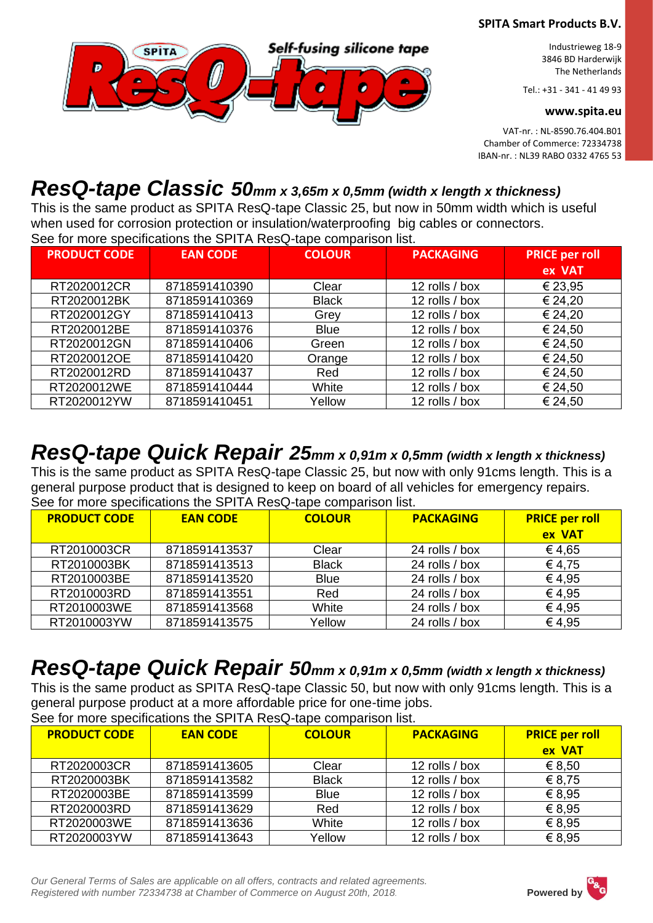

Industrieweg 18-9 3846 BD Harderwijk The Netherlands

Tel.: +31 - 341 - 41 49 93

**www.spita.eu**

VAT-nr. : NL-8590.76.404.B01 Chamber of Commerce: 72334738 IBAN-nr. : NL39 RABO 0332 4765 53

## *ResQ-tape Classic 50mm x 3,65m x 0,5mm (width x length x thickness)*

This is the same product as SPITA ResQ-tape Classic 25, but now in 50mm width which is useful when used for corrosion protection or insulation/waterproofing big cables or connectors. See for more specifications the SPITA ResQ-tape comparison list.

| <b>PRODUCT CODE</b> | <b>EAN CODE</b> | <b>COLOUR</b> | <b>PACKAGING</b> | <b>PRICE per roll</b> |
|---------------------|-----------------|---------------|------------------|-----------------------|
|                     |                 |               |                  | ex VAT                |
| RT2020012CR         | 8718591410390   | Clear         | 12 rolls / box   | € 23,95               |
| RT2020012BK         | 8718591410369   | <b>Black</b>  | 12 rolls / box   | € 24,20               |
| RT2020012GY         | 8718591410413   | Grey          | 12 rolls / box   | € 24,20               |
| RT2020012BE         | 8718591410376   | <b>Blue</b>   | 12 rolls / box   | € 24,50               |
| RT2020012GN         | 8718591410406   | Green         | 12 rolls / box   | € 24,50               |
| RT2020012OE         | 8718591410420   | Orange        | 12 rolls / box   | € 24,50               |
| RT2020012RD         | 8718591410437   | Red           | 12 rolls / box   | € 24,50               |
| RT2020012WE         | 8718591410444   | White         | 12 rolls / box   | € 24,50               |
| RT2020012YW         | 8718591410451   | Yellow        | 12 rolls / box   | € 24,50               |

## *ResQ-tape Quick Repair 25mm x 0,91m x 0,5mm (width x length x thickness)*

This is the same product as SPITA ResQ-tape Classic 25, but now with only 91cms length. This is a general purpose product that is designed to keep on board of all vehicles for emergency repairs. See for more specifications the SPITA ResQ-tape comparison list.

| <b>PRODUCT CODE</b> | <b>EAN CODE</b> | <b>COLOUR</b> | <b>PACKAGING</b> | <b>PRICE per roll</b><br>ex VAT |
|---------------------|-----------------|---------------|------------------|---------------------------------|
| RT2010003CR         | 8718591413537   | Clear         | 24 rolls / box   | €4,65                           |
| RT2010003BK         | 8718591413513   | <b>Black</b>  | 24 rolls / box   | €4,75                           |
| RT2010003BE         | 8718591413520   | <b>Blue</b>   | 24 rolls / box   | €4.95                           |
| RT2010003RD         | 8718591413551   | Red           | 24 rolls / box   | €4.95                           |
| RT2010003WE         | 8718591413568   | White         | 24 rolls / box   | €4,95                           |
| RT2010003YW         | 8718591413575   | Yellow        | 24 rolls / box   | €4,95                           |

## *ResQ-tape Quick Repair 50mm x 0,91m x 0,5mm (width x length x thickness)*

This is the same product as SPITA ResQ-tape Classic 50, but now with only 91cms length. This is a general purpose product at a more affordable price for one-time jobs.

See for more specifications the SPITA ResQ-tape comparison list.

| <b>PRODUCT CODE</b> | <b>EAN CODE</b> | <b>COLOUR</b> | <b>PACKAGING</b> | <b>PRICE per roll</b> |
|---------------------|-----------------|---------------|------------------|-----------------------|
|                     |                 |               |                  | ex VAT                |
| RT2020003CR         | 8718591413605   | Clear         | 12 rolls / box   | € 8.50                |
| RT2020003BK         | 8718591413582   | <b>Black</b>  | 12 rolls / box   | € 8,75                |
| RT2020003BE         | 8718591413599   | <b>Blue</b>   | 12 rolls / box   | € 8,95                |
| RT2020003RD         | 8718591413629   | Red           | 12 rolls / box   | € 8,95                |
| RT2020003WE         | 8718591413636   | White         | 12 rolls / box   | € 8,95                |
| RT2020003YW         | 8718591413643   | Yellow        | 12 rolls / box   | € 8.95                |

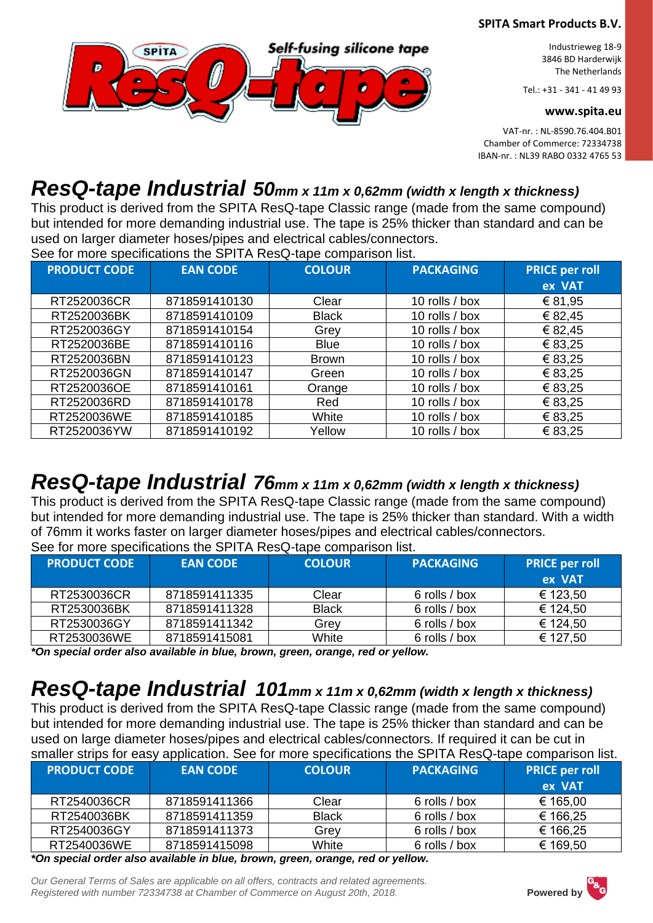

Industrieweg 18-9 3846 BD Harderwijk The Netherlands

Tel.: +31 - 341 - 41 49 93

**www.spita.eu**

VAT-nr. : NL-8590.76.404.B01 Chamber of Commerce: 72334738 IBAN-nr. : NL39 RABO 0332 4765 53

### *ResQ-tape Industrial 50mm x 11m x 0,62mm (width x length x thickness)*

This product is derived from the SPITA ResQ-tape Classic range (made from the same compound) but intended for more demanding industrial use. The tape is 25% thicker than standard and can be used on larger diameter hoses/pipes and electrical cables/connectors.

See for more specifications the SPITA ResQ-tape comparison list.

| <b>PRODUCT CODE</b> | <b>EAN CODE</b> | <b>COLOUR</b> | <b>PACKAGING</b> | <b>PRICE per roll</b> |
|---------------------|-----------------|---------------|------------------|-----------------------|
|                     |                 |               |                  | ex VAT                |
| RT2520036CR         | 8718591410130   | Clear         | 10 rolls / box   | € 81,95               |
| RT2520036BK         | 8718591410109   | <b>Black</b>  | 10 rolls / box   | € 82,45               |
| RT2520036GY         | 8718591410154   | Grey          | 10 rolls / box   | € 82,45               |
| RT2520036BE         | 8718591410116   | <b>Blue</b>   | 10 rolls / box   | € 83,25               |
| RT2520036BN         | 8718591410123   | <b>Brown</b>  | 10 rolls / box   | € 83,25               |
| RT2520036GN         | 8718591410147   | Green         | 10 rolls / box   | € 83,25               |
| RT2520036OE         | 8718591410161   | Orange        | 10 rolls / box   | € 83,25               |
| RT2520036RD         | 8718591410178   | Red           | 10 rolls / box   | € 83,25               |
| RT2520036WE         | 8718591410185   | White         | 10 rolls / box   | € 83,25               |
| RT2520036YW         | 8718591410192   | Yellow        | 10 rolls / box   | € 83,25               |

## *ResQ-tape Industrial 76mm x 11m x 0,62mm (width x length x thickness)*

This product is derived from the SPITA ResQ-tape Classic range (made from the same compound) but intended for more demanding industrial use. The tape is 25% thicker than standard. With a width of 76mm it works faster on larger diameter hoses/pipes and electrical cables/connectors. See for more specifications the SPITA ResQ-tape comparison list.

| <b>PRODUCT CODE</b> | <b>EAN CODE</b> | <b>COLOUR</b> | <b>PACKAGING</b> | <b>PRICE per roll</b><br>ex VAT |
|---------------------|-----------------|---------------|------------------|---------------------------------|
| RT2530036CR         | 8718591411335   | Clear         | 6 rolls / box    | € 123,50                        |
| RT2530036BK         | 8718591411328   | <b>Black</b>  | 6 rolls / box    | € 124,50                        |
| RT2530036GY         | 8718591411342   | Grev          | 6 rolls / box    | € 124,50                        |
| RT2530036WE         | 8718591415081   | White         | 6 rolls / box    | € 127,50                        |

*\*On special order also available in blue, brown, green, orange, red or yellow.*

## *ResQ-tape Industrial 101mm x 11m x 0,62mm (width x length x thickness)*

This product is derived from the SPITA ResQ-tape Classic range (made from the same compound) but intended for more demanding industrial use. The tape is 25% thicker than standard and can be used on large diameter hoses/pipes and electrical cables/connectors. If required it can be cut in smaller strips for easy application. See for more specifications the SPITA ResQ-tape comparison list.

| <b>PRODUCT CODE</b> | <b>EAN CODE</b> | <b>COLOUR</b> | <b>PACKAGING</b> | <b>PRICE per roll</b><br>ex VAT |
|---------------------|-----------------|---------------|------------------|---------------------------------|
| RT2540036CR         | 8718591411366   | Clear         | 6 rolls / box    | € 165,00                        |
| RT2540036BK         | 8718591411359   | <b>Black</b>  | 6 rolls / box    | € 166,25                        |
| RT2540036GY         | 8718591411373   | Grey          | 6 rolls / box    | € 166,25                        |
| RT2540036WE         | 8718591415098   | White         | 6 rolls / box    | € 169,50                        |

*\*On special order also available in blue, brown, green, orange, red or yellow.*

*Our General Terms of Sales are applicable on all offers, contracts and related agreements. Registered with number 72334738 at Chamber of Commerce on August 20th, 2018.* **Powered by**

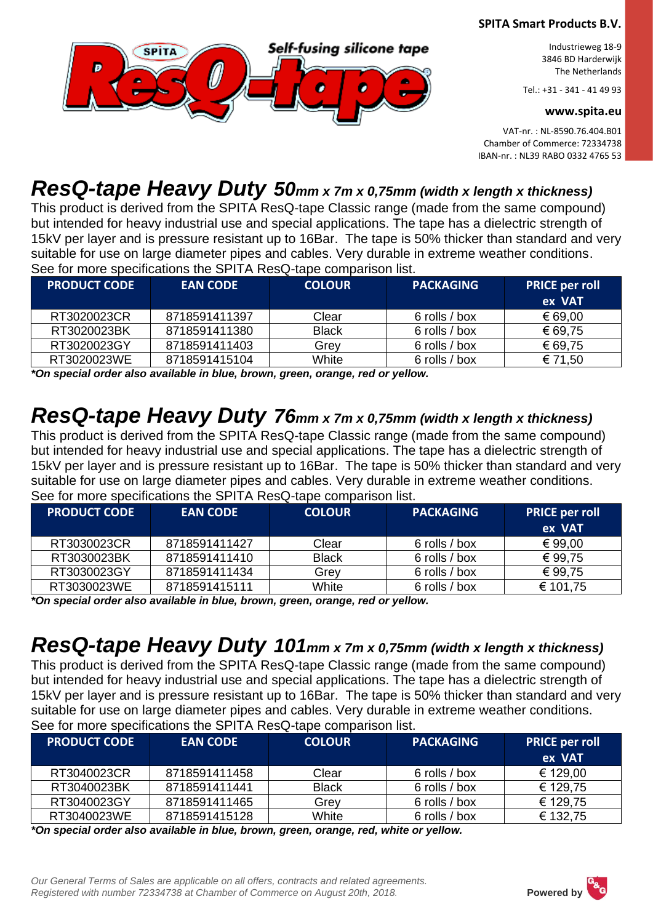

Industrieweg 18-9 3846 BD Harderwijk The Netherlands

Tel.: +31 - 341 - 41 49 93

#### **www.spita.eu**

VAT-nr. : NL-8590.76.404.B01 Chamber of Commerce: 72334738 IBAN-nr. : NL39 RABO 0332 4765 53

### *ResQ-tape Heavy Duty 50mm x 7m x 0,75mm (width x length x thickness)*

This product is derived from the SPITA ResQ-tape Classic range (made from the same compound) but intended for heavy industrial use and special applications. The tape has a dielectric strength of 15kV per layer and is pressure resistant up to 16Bar. The tape is 50% thicker than standard and very suitable for use on large diameter pipes and cables. Very durable in extreme weather conditions. See for more specifications the SPITA ResQ-tape comparison list.

| <b>PRODUCT CODE !</b> | <b>EAN CODE</b> | <b>COLOUR</b> | <b>PACKAGING</b> | <b>PRICE per roll</b><br>ex VAT |
|-----------------------|-----------------|---------------|------------------|---------------------------------|
| RT3020023CR           | 8718591411397   | Clear         | 6 rolls / box    | € 69,00                         |
| RT3020023BK           | 8718591411380   | <b>Black</b>  | 6 rolls / box    | € 69,75                         |
| RT3020023GY           | 8718591411403   | Grev          | 6 rolls / box    | € 69,75                         |
| RT3020023WE           | 8718591415104   | White         | 6 rolls / box    | € 71,50                         |

*\*On special order also available in blue, brown, green, orange, red or yellow.*

## *ResQ-tape Heavy Duty 76mm x 7m x 0,75mm (width x length x thickness)*

This product is derived from the SPITA ResQ-tape Classic range (made from the same compound) but intended for heavy industrial use and special applications. The tape has a dielectric strength of 15kV per layer and is pressure resistant up to 16Bar. The tape is 50% thicker than standard and very suitable for use on large diameter pipes and cables. Very durable in extreme weather conditions. See for more specifications the SPITA ResQ-tape comparison list.

| <b>PRODUCT CODE</b> | <b>EAN CODE</b>                                                               | <b>COLOUR</b> | <b>PACKAGING</b> | <b>PRICE per roll</b><br>ex VAT |
|---------------------|-------------------------------------------------------------------------------|---------------|------------------|---------------------------------|
| RT3030023CR         | 8718591411427                                                                 | Clear         | 6 rolls / box    | € 99,00                         |
| RT3030023BK         | 8718591411410                                                                 | <b>Black</b>  | 6 rolls / box    | € 99,75                         |
| RT3030023GY         | 8718591411434                                                                 | Grey          | 6 rolls / box    | € 99.75                         |
| RT3030023WE         | 8718591415111                                                                 | White         | 6 rolls / box    | € 101,75                        |
|                     | *On anogial arder also quailable in blue, brown, aroon, arongo, red ary ollow |               |                  |                                 |

*\*On special order also available in blue, brown, green, orange, red or yellow.*

## *ResQ-tape Heavy Duty 101mm x 7m x 0,75mm (width x length x thickness)*

This product is derived from the SPITA ResQ-tape Classic range (made from the same compound) but intended for heavy industrial use and special applications. The tape has a dielectric strength of 15kV per layer and is pressure resistant up to 16Bar. The tape is 50% thicker than standard and very suitable for use on large diameter pipes and cables. Very durable in extreme weather conditions. See for more specifications the SPITA ResQ-tape comparison list.

| <b>PRODUCT CODE</b> | <b>EAN CODE</b> | <b>COLOUR</b> | <b>PACKAGING</b> | <b>PRICE per roll</b><br>ex VAT |
|---------------------|-----------------|---------------|------------------|---------------------------------|
| RT3040023CR         | 8718591411458   | Clear         | 6 rolls / box    | € 129,00                        |
| RT3040023BK         | 8718591411441   | <b>Black</b>  | 6 rolls / box    | € 129,75                        |
| RT3040023GY         | 8718591411465   | Grev          | 6 rolls / box    | € 129,75                        |
| RT3040023WE         | 8718591415128   | White         | 6 rolls / box    | € 132,75                        |

*\*On special order also available in blue, brown, green, orange, red, white or yellow.*

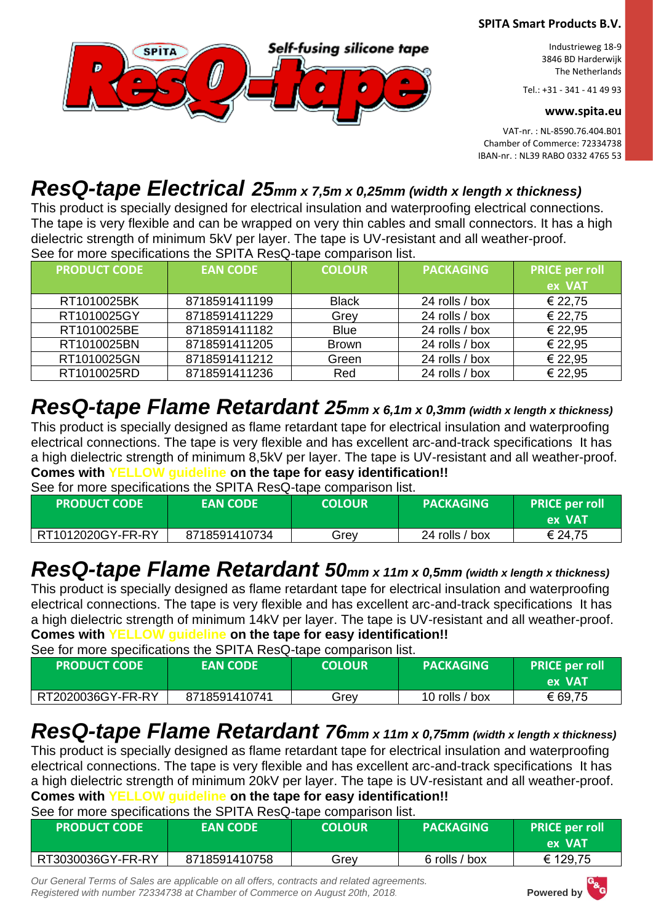

Industrieweg 18-9 3846 BD Harderwijk The Netherlands

Tel.: +31 - 341 - 41 49 93

#### **www.spita.eu**

VAT-nr. : NL-8590.76.404.B01 Chamber of Commerce: 72334738 IBAN-nr. : NL39 RABO 0332 4765 53

## *ResQ-tape Electrical 25mm x 7,5m x 0,25mm (width x length x thickness)*

This product is specially designed for electrical insulation and waterproofing electrical connections. The tape is very flexible and can be wrapped on very thin cables and small connectors. It has a high dielectric strength of minimum 5kV per layer. The tape is UV-resistant and all weather-proof. See for more specifications the SPITA ResQ-tape comparison list.

| <b>PRODUCT CODE</b> | <b>EAN CODE</b> | <b>COLOUR</b> | <b>PACKAGING</b> | <b>PRICE per roll</b><br>ex VAT |
|---------------------|-----------------|---------------|------------------|---------------------------------|
| RT1010025BK         | 8718591411199   | <b>Black</b>  | 24 rolls / box   | € 22,75                         |
| RT1010025GY         | 8718591411229   | Grey          | 24 rolls / box   | € 22,75                         |
| RT1010025BE         | 8718591411182   | <b>Blue</b>   | 24 rolls / box   | € 22,95                         |
| RT1010025BN         | 8718591411205   | <b>Brown</b>  | 24 rolls / box   | € 22,95                         |
| RT1010025GN         | 8718591411212   | Green         | 24 rolls / box   | € 22,95                         |
| RT1010025RD         | 8718591411236   | Red           | 24 rolls / box   | € 22,95                         |

# *ResQ-tape Flame Retardant 25mm x 6,1m x 0,3mm (width x length x thickness)*

This product is specially designed as flame retardant tape for electrical insulation and waterproofing electrical connections. The tape is very flexible and has excellent arc-and-track specifications It has a high dielectric strength of minimum 8,5kV per layer. The tape is UV-resistant and all weather-proof. **Comes with YELLOW guideline on the tape for easy identification!!**

See for more specifications the SPITA ResQ-tape comparison list.

| <b>PRODUCT CODE</b> | <b>EAN CODE</b> | <b>COLOUR</b> | <b>PACKAGING</b> | <b>PRICE per roll</b><br>'ex VAT |
|---------------------|-----------------|---------------|------------------|----------------------------------|
| RT1012020GY-FR-RY   | 8718591410734   | Grev          | 24 rolls / box   | € 24,75                          |

# *ResQ-tape Flame Retardant 50mm x 11m x 0,5mm (width x length x thickness)*

This product is specially designed as flame retardant tape for electrical insulation and waterproofing electrical connections. The tape is very flexible and has excellent arc-and-track specifications It has a high dielectric strength of minimum 14kV per layer. The tape is UV-resistant and all weather-proof. **Comes with YELLOW guideline on the tape for easy identification!!**

See for more specifications the SPITA ResQ-tape comparison list.

| <b>PRODUCT CODE</b> | <b>EAN CODE</b> | <b>COLOUR</b> | <b>PACKAGING</b> | <b>PRICE per roll</b><br>ex VAT |
|---------------------|-----------------|---------------|------------------|---------------------------------|
| RT2020036GY-FR-RY   | 8718591410741   | Grev          | 10 rolls / box   | € 69,75                         |

## *ResQ-tape Flame Retardant 76mm x 11m x 0,75mm (width x length x thickness)*

This product is specially designed as flame retardant tape for electrical insulation and waterproofing electrical connections. The tape is very flexible and has excellent arc-and-track specifications It has a high dielectric strength of minimum 20kV per layer. The tape is UV-resistant and all weather-proof. **Comes with YELLOW guideline on the tape for easy identification!!**

See for more specifications the SPITA ResQ-tape comparison list.

| <b>PRODUCT CODE</b> | <b>EAN CODE</b> | <b>COLOUR</b> | <b>PACKAGING</b> | <b>PRICE per roll</b><br>ex VAT |
|---------------------|-----------------|---------------|------------------|---------------------------------|
| RT3030036GY-FR-RY   | 8718591410758   | Grev          | 6 rolls / box    | € 129,75                        |

*Our General Terms of Sales are applicable on all offers, contracts and related agreements.*  **Registered with number 72334738 at Chamber of Commerce on August 20th, 2018. Powered by** 

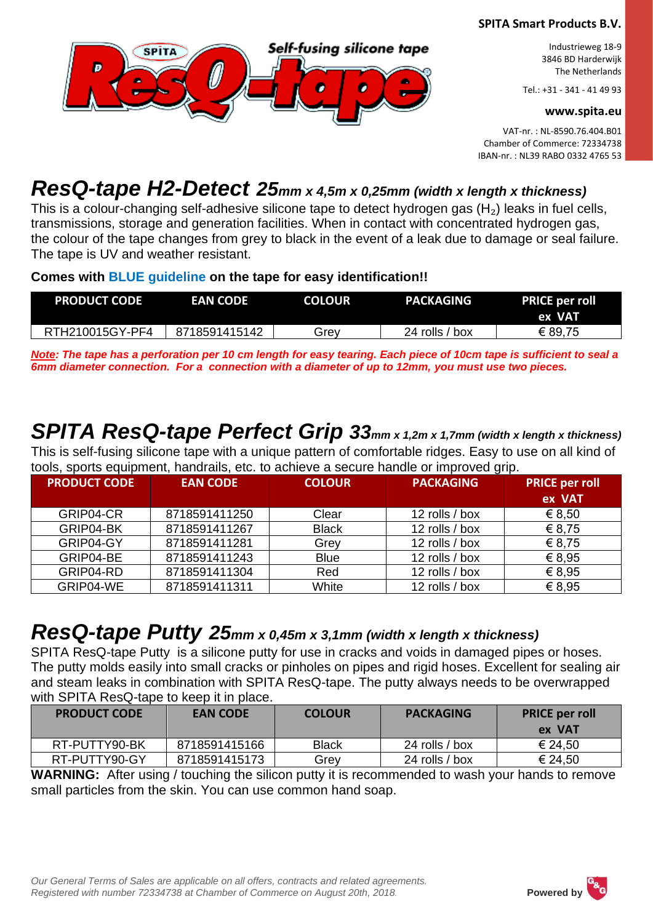

Industrieweg 18-9 3846 BD Harderwijk The Netherlands

Tel.: +31 - 341 - 41 49 93

#### **www.spita.eu**

VAT-nr. : NL-8590.76.404.B01 Chamber of Commerce: 72334738 IBAN-nr. : NL39 RABO 0332 4765 53

## *ResQ-tape H2-Detect 25mm x 4,5m x 0,25mm (width x length x thickness)*

This is a colour-changing self-adhesive silicone tape to detect hydrogen gas  $(H_2)$  leaks in fuel cells, transmissions, storage and generation facilities. When in contact with concentrated hydrogen gas, the colour of the tape changes from grey to black in the event of a leak due to damage or seal failure. The tape is UV and weather resistant.

#### **Comes with BLUE guideline on the tape for easy identification!!**

| <b>PRODUCT CODE</b> | <b>EAN CODE</b> | <b>COLOUR</b> | <b>PACKAGING</b> | <b>PRICE per roll</b><br>ex VAT |
|---------------------|-----------------|---------------|------------------|---------------------------------|
| RTH210015GY-PF4     | 8718591415142   | Grev          | 24 rolls / box   | € 89,75                         |

*Note: The tape has a perforation per 10 cm length for easy tearing. Each piece of 10cm tape is sufficient to seal a 6mm diameter connection. For a connection with a diameter of up to 12mm, you must use two pieces.*

# *SPITA ResQ-tape Perfect Grip 33mm x 1,2m x 1,7mm (width x length x thickness)*

This is self-fusing silicone tape with a unique pattern of comfortable ridges. Easy to use on all kind of tools, sports equipment, handrails, etc. to achieve a secure handle or improved grip.

| <b>PRODUCT CODE</b> | <b>EAN CODE</b> | <b>COLOUR</b> | <b>PACKAGING</b> | <b>PRICE per roll</b><br>ex VAT |
|---------------------|-----------------|---------------|------------------|---------------------------------|
| GRIP04-CR           | 8718591411250   | Clear         | 12 rolls / box   | € 8,50                          |
| GRIP04-BK           | 8718591411267   | <b>Black</b>  | 12 rolls / box   | € 8,75                          |
| GRIP04-GY           | 8718591411281   | Grey          | 12 rolls / box   | € 8,75                          |
| GRIP04-BE           | 8718591411243   | <b>Blue</b>   | 12 rolls / box   | € 8.95                          |
| GRIP04-RD           | 8718591411304   | Red           | 12 rolls / box   | € 8,95                          |
| GRIP04-WE           | 8718591411311   | White         | 12 rolls / box   | € 8.95                          |

### *ResQ-tape Putty 25mm x 0,45m x 3,1mm (width x length x thickness)*

SPITA ResQ-tape Putty is a silicone putty for use in cracks and voids in damaged pipes or hoses. The putty molds easily into small cracks or pinholes on pipes and rigid hoses. Excellent for sealing air and steam leaks in combination with SPITA ResQ-tape. The putty always needs to be overwrapped with SPITA ResQ-tape to keep it in place.

| <b>PRODUCT CODE</b> | <b>EAN CODE</b> | <b>COLOUR</b> | <b>PACKAGING</b> | <b>PRICE per roll</b><br>ex VAT |
|---------------------|-----------------|---------------|------------------|---------------------------------|
| RT-PUTTY90-BK       | 8718591415166   | <b>Black</b>  | 24 rolls / box   | € 24,50                         |
| RT-PUTTY90-GY       | 8718591415173   | Grev          | 24 rolls / box   | € 24,50                         |

**WARNING:** After using / touching the silicon putty it is recommended to wash your hands to remove small particles from the skin. You can use common hand soap.